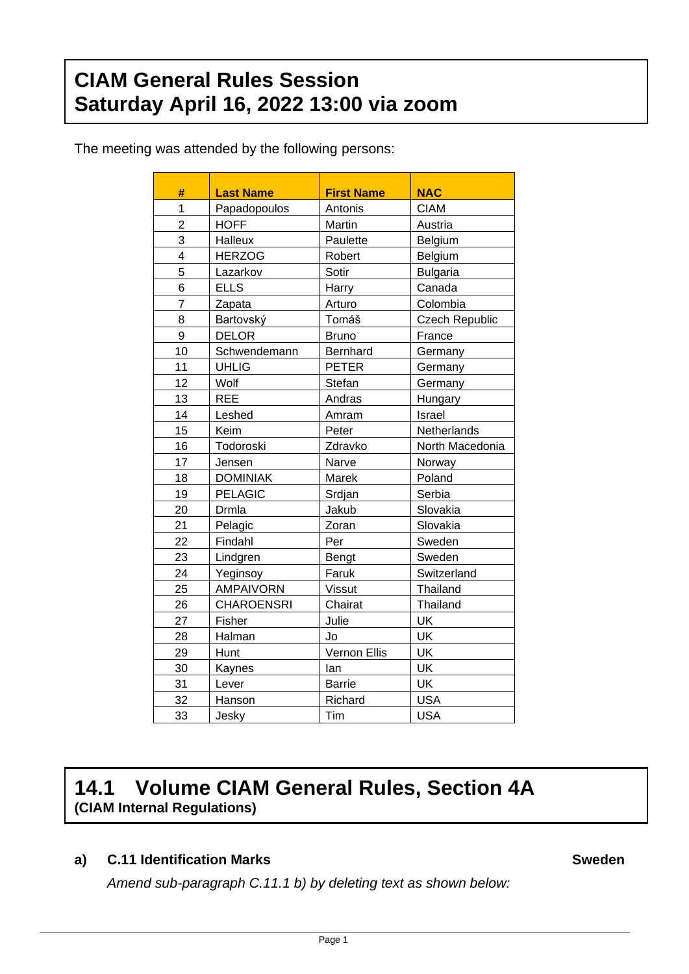# **CIAM General Rules Session Saturday April 16, 2022 13:00 via zoom**

The meeting was attended by the following persons:

| #              | <b>Last Name</b>  | <b>First Name</b> | <b>NAC</b>            |  |
|----------------|-------------------|-------------------|-----------------------|--|
| $\overline{1}$ | Papadopoulos      | Antonis           | <b>CIAM</b>           |  |
| $\overline{c}$ | <b>HOFF</b>       | Martin            | Austria               |  |
| 3              | Halleux           | Paulette          | Belgium               |  |
| 4              | <b>HERZOG</b>     | Robert            | Belgium               |  |
| 5              | Lazarkov          | Sotir             | <b>Bulgaria</b>       |  |
| 6              | <b>ELLS</b>       | Harry             | Canada                |  |
| $\overline{7}$ | Zapata            | Arturo            | Colombia              |  |
| 8              | Bartovský         | Tomáš             | <b>Czech Republic</b> |  |
| 9              | <b>DELOR</b>      | <b>Bruno</b>      | France                |  |
| 10             | Schwendemann      | <b>Bernhard</b>   | Germany               |  |
| 11             | <b>UHLIG</b>      | <b>PETER</b>      | Germany               |  |
| 12             | Wolf              | Stefan            | Germany               |  |
| 13             | <b>REE</b>        | Andras            | Hungary               |  |
| 14             | Leshed            | Amram             | Israel                |  |
| 15             | Keim              | Peter             | Netherlands           |  |
| 16             | Todoroski         | Zdravko           | North Macedonia       |  |
| 17             | Jensen            | Narve             | Norway                |  |
| 18             | <b>DOMINIAK</b>   | Marek             | Poland                |  |
| 19             | <b>PELAGIC</b>    | Srdjan            | Serbia                |  |
| 20             | Drmla             | Jakub             | Slovakia              |  |
| 21             | Pelagic           | Zoran             | Slovakia              |  |
| 22             | Findahl           | Per               | Sweden                |  |
| 23             | Lindgren          | Bengt             | Sweden                |  |
| 24             | Yeginsoy          | Faruk             | Switzerland           |  |
| 25             | <b>AMPAIVORN</b>  | <b>Vissut</b>     | Thailand              |  |
| 26             | <b>CHAROENSRI</b> | Chairat           | Thailand              |  |
| 27             | Fisher            | Julie             | UK                    |  |
| 28             | Halman            | Jo                | UK                    |  |
| 29             | Hunt              | Vernon Ellis      | UK                    |  |
| 30             | Kaynes            | lan               | UK                    |  |
| 31             | Lever             | <b>Barrie</b>     | UK                    |  |
| 32             | Hanson            | Richard           | <b>USA</b>            |  |
| 33             | Jesky             | Tim               | <b>USA</b>            |  |

# **14.1 Volume CIAM General Rules, Section 4A (CIAM Internal Regulations)**

# **a) C.11 Identification Marks Sweden**

*Amend sub-paragraph C.11.1 b) by deleting text as shown below:*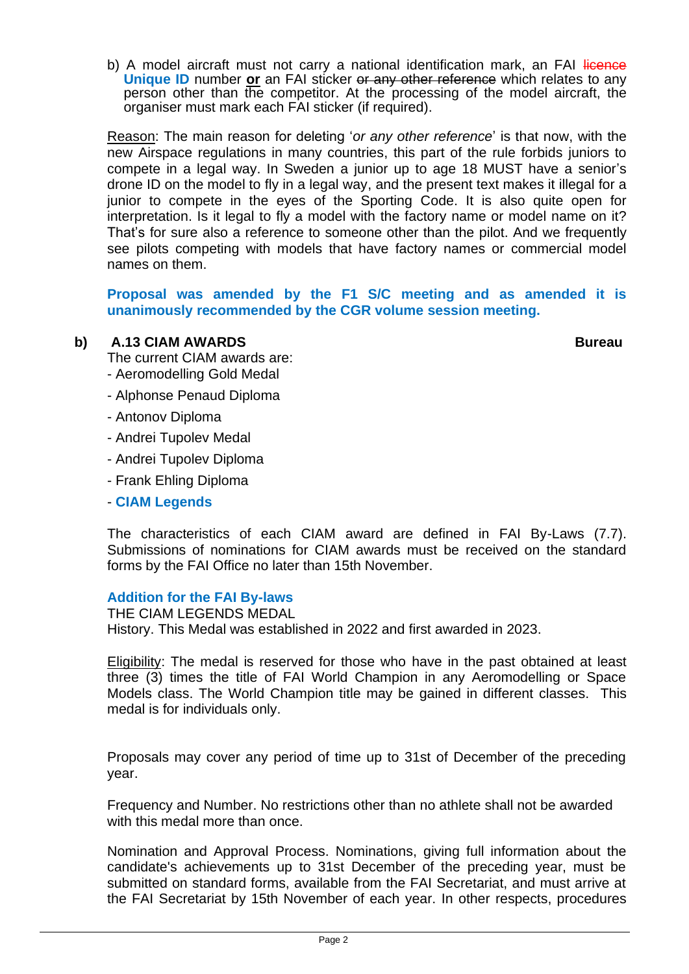b) A model aircraft must not carry a national identification mark, an FAI licence **Unique ID** number **or** an FAI sticker or any other reference which relates to any person other than the competitor. At the processing of the model aircraft, the organiser must mark each FAI sticker (if required).

Reason: The main reason for deleting '*or any other reference*' is that now, with the new Airspace regulations in many countries, this part of the rule forbids juniors to compete in a legal way. In Sweden a junior up to age 18 MUST have a senior's drone ID on the model to fly in a legal way, and the present text makes it illegal for a junior to compete in the eyes of the Sporting Code. It is also quite open for interpretation. Is it legal to fly a model with the factory name or model name on it? That's for sure also a reference to someone other than the pilot. And we frequently see pilots competing with models that have factory names or commercial model names on them.

**Proposal was amended by the F1 S/C meeting and as amended it is unanimously recommended by the CGR volume session meeting.**

## **b) A.13 CIAM AWARDS Bureau**

The current CIAM awards are:

- Aeromodelling Gold Medal
- Alphonse Penaud Diploma
- Antonov Diploma
- Andrei Tupolev Medal
- Andrei Tupolev Diploma
- Frank Ehling Diploma
- **CIAM Legends**

The characteristics of each CIAM award are defined in FAI By-Laws (7.7). Submissions of nominations for CIAM awards must be received on the standard forms by the FAI Office no later than 15th November.

### **Addition for the FAI By-laws**

THE CIAM LEGENDS MEDAL History. This Medal was established in 2022 and first awarded in 2023.

Eligibility: The medal is reserved for those who have in the past obtained at least three (3) times the title of FAI World Champion in any Aeromodelling or Space Models class. The World Champion title may be gained in different classes. This medal is for individuals only.

Proposals may cover any period of time up to 31st of December of the preceding year.

Frequency and Number. No restrictions other than no athlete shall not be awarded with this medal more than once.

Nomination and Approval Process. Nominations, giving full information about the candidate's achievements up to 31st December of the preceding year, must be submitted on standard forms, available from the FAI Secretariat, and must arrive at the FAI Secretariat by 15th November of each year. In other respects, procedures